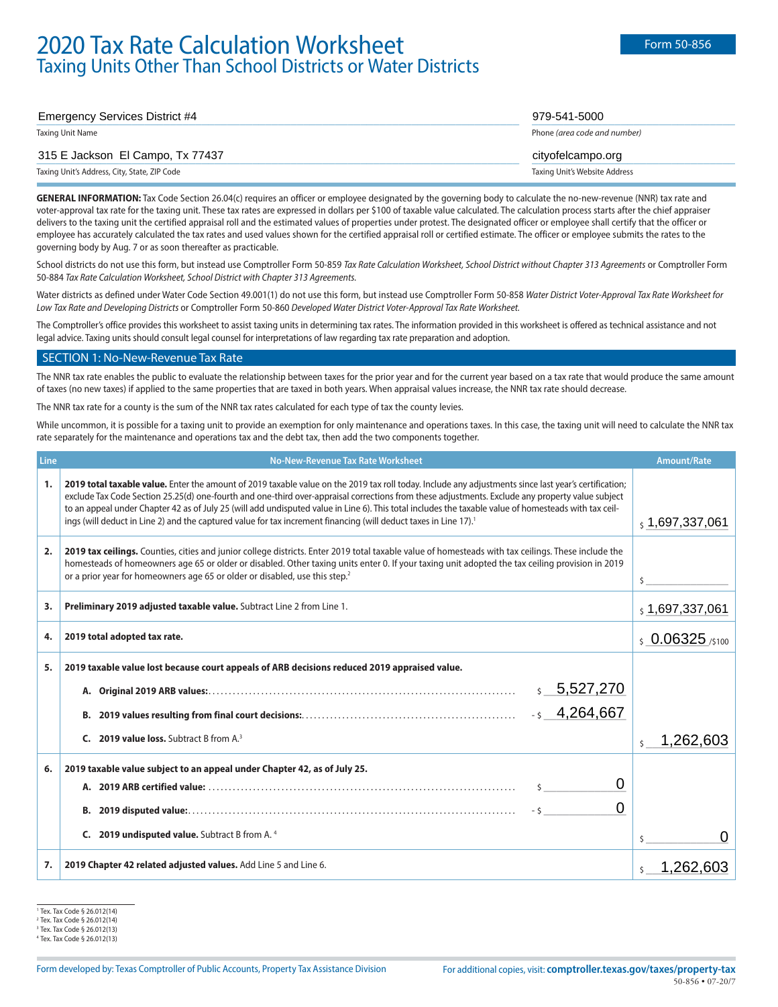# Emergency Services District #4 **2000 Contract According to the Contract of According to the Contract of According to the Contract of According to the Contract of According to the Contract of According to the Contract of** Taxing Unit Name Phone *(area code and number)*

# and the state of the state of the state of the state of the state of the state of the state of the state of the state of the state of the state of the state of the state of the state of the state of the state of the state

Taxing Unit's Address, City, State, ZIP Code Taxing Unit's Website Address

GENERAL INFORMATION: Tax Code Section 26.04(c) requires an officer or employee designated by the governing body to calculate the no-new-revenue (NNR) tax rate and voter-approval tax rate for the taxing unit. These tax rates are expressed in dollars per \$100 of taxable value calculated. The calculation process starts after the chief appraiser delivers to the taxing unit the certified appraisal roll and the estimated values of properties under protest. The designated officer or employee shall certify that the officer or employee has accurately calculated the tax rates and used values shown for the certified appraisal roll or certified estimate. The officer or employee submits the rates to the governing body by Aug. 7 or as soon thereafter as practicable.

School districts do not use this form, but instead use Comptroller Form 50-859 *Tax Rate Calculation Worksheet, School District without Chapter 313 Agreements* or Comptroller Form 50-884 *Tax Rate Calculation Worksheet, School District with Chapter 313 Agreements.*

Water districts as defined under Water Code Section 49.001(1) do not use this form, but instead use Comptroller Form 50-858 *Water District Voter-Approval Tax Rate Worksheet for Low Tax Rate and Developing Districts* or Comptroller Form 50-860 *Developed Water District Voter-Approval Tax Rate Worksheet.*

The Comptroller's office provides this worksheet to assist taxing units in determining tax rates. The information provided in this worksheet is offered as technical assistance and not legal advice. Taxing units should consult legal counsel for interpretations of law regarding tax rate preparation and adoption.

#### SECTION 1: No-New-Revenue Tax Rate

The NNR tax rate enables the public to evaluate the relationship between taxes for the prior year and for the current year based on a tax rate that would produce the same amount of taxes (no new taxes) if applied to the same properties that are taxed in both years. When appraisal values increase, the NNR tax rate should decrease.

The NNR tax rate for a county is the sum of the NNR tax rates calculated for each type of tax the county levies.

While uncommon, it is possible for a taxing unit to provide an exemption for only maintenance and operations taxes. In this case, the taxing unit will need to calculate the NNR tax rate separately for the maintenance and operations tax and the debt tax, then add the two components together.

| Line | No-New-Revenue Tax Rate Worksheet                                                                                                                                                                                                                                                                                                                                                                                                                                                                                                                                                                  | <b>Amount/Rate</b>   |
|------|----------------------------------------------------------------------------------------------------------------------------------------------------------------------------------------------------------------------------------------------------------------------------------------------------------------------------------------------------------------------------------------------------------------------------------------------------------------------------------------------------------------------------------------------------------------------------------------------------|----------------------|
| 1.   | 2019 total taxable value. Enter the amount of 2019 taxable value on the 2019 tax roll today. Include any adjustments since last year's certification;<br>exclude Tax Code Section 25.25(d) one-fourth and one-third over-appraisal corrections from these adjustments. Exclude any property value subject<br>to an appeal under Chapter 42 as of July 25 (will add undisputed value in Line 6). This total includes the taxable value of homesteads with tax ceil-<br>ings (will deduct in Line 2) and the captured value for tax increment financing (will deduct taxes in Line 17). <sup>1</sup> | $_5$ 1,697,337,061   |
| 2.   | 2019 tax ceilings. Counties, cities and junior college districts. Enter 2019 total taxable value of homesteads with tax ceilings. These include the<br>homesteads of homeowners age 65 or older or disabled. Other taxing units enter 0. If your taxing unit adopted the tax ceiling provision in 2019<br>or a prior year for homeowners age 65 or older or disabled, use this step. <sup>2</sup>                                                                                                                                                                                                  |                      |
| 3.   | Preliminary 2019 adjusted taxable value. Subtract Line 2 from Line 1.                                                                                                                                                                                                                                                                                                                                                                                                                                                                                                                              | \$1,697,337,061      |
| 4.   | 2019 total adopted tax rate.                                                                                                                                                                                                                                                                                                                                                                                                                                                                                                                                                                       | $$0.06325$ /\$100    |
| 5.   | 2019 taxable value lost because court appeals of ARB decisions reduced 2019 appraised value.                                                                                                                                                                                                                                                                                                                                                                                                                                                                                                       |                      |
|      | 5,527,270                                                                                                                                                                                                                                                                                                                                                                                                                                                                                                                                                                                          |                      |
|      | 4,264,667<br>В.                                                                                                                                                                                                                                                                                                                                                                                                                                                                                                                                                                                    |                      |
|      | C. 2019 value loss. Subtract B from A.3                                                                                                                                                                                                                                                                                                                                                                                                                                                                                                                                                            | 1,262,603<br>$\zeta$ |
| 6.   | 2019 taxable value subject to an appeal under Chapter 42, as of July 25.                                                                                                                                                                                                                                                                                                                                                                                                                                                                                                                           |                      |
|      | 0                                                                                                                                                                                                                                                                                                                                                                                                                                                                                                                                                                                                  |                      |
|      | 0<br>$-5$ $-1$                                                                                                                                                                                                                                                                                                                                                                                                                                                                                                                                                                                     |                      |
|      | C. 2019 undisputed value. Subtract B from A. 4                                                                                                                                                                                                                                                                                                                                                                                                                                                                                                                                                     |                      |
| 7.   | 2019 Chapter 42 related adjusted values. Add Line 5 and Line 6.                                                                                                                                                                                                                                                                                                                                                                                                                                                                                                                                    | 1,262,603            |

<sup>1</sup> Tex. Tax Code § 26.012(14)

<sup>2</sup> Tex. Tax Code § 26.012(14)

<sup>3</sup> Tex. Tax Code § 26.012(13)

<sup>4</sup> Tex. Tax Code § 26.012(13)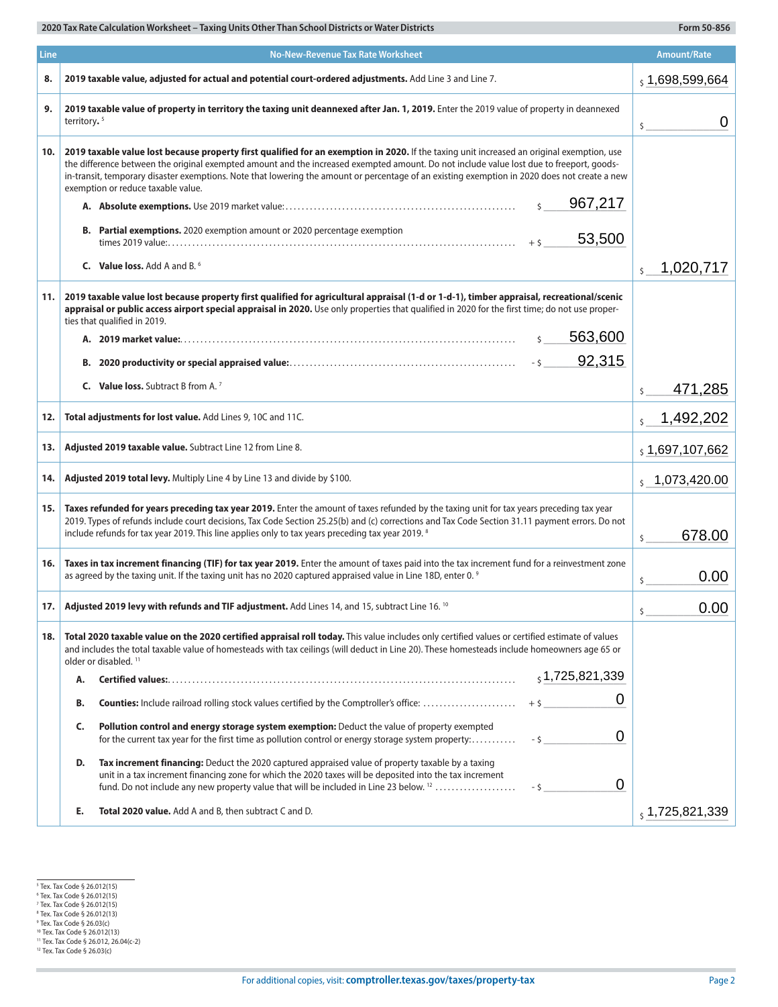| Line | <b>No-New-Revenue Tax Rate Worksheet</b>                                                                                                                                                                                                                                                                                                                                                                                                                                      | <b>Amount/Rate</b>        |
|------|-------------------------------------------------------------------------------------------------------------------------------------------------------------------------------------------------------------------------------------------------------------------------------------------------------------------------------------------------------------------------------------------------------------------------------------------------------------------------------|---------------------------|
| 8.   | 2019 taxable value, adjusted for actual and potential court-ordered adjustments. Add Line 3 and Line 7.                                                                                                                                                                                                                                                                                                                                                                       | 51,698,599,664            |
| 9.   | 2019 taxable value of property in territory the taxing unit deannexed after Jan. 1, 2019. Enter the 2019 value of property in deannexed<br>territory. <sup>5</sup>                                                                                                                                                                                                                                                                                                            | 0<br>$\zeta$              |
| 10.  | 2019 taxable value lost because property first qualified for an exemption in 2020. If the taxing unit increased an original exemption, use<br>the difference between the original exempted amount and the increased exempted amount. Do not include value lost due to freeport, goods-<br>in-transit, temporary disaster exemptions. Note that lowering the amount or percentage of an existing exemption in 2020 does not create a new<br>exemption or reduce taxable value. |                           |
|      | 967,217<br>$\mathsf{S}$                                                                                                                                                                                                                                                                                                                                                                                                                                                       |                           |
|      | <b>B.</b> Partial exemptions. 2020 exemption amount or 2020 percentage exemption<br>53,500<br>$+5$                                                                                                                                                                                                                                                                                                                                                                            |                           |
|      | <b>C.</b> Value loss, Add A and B. <sup>6</sup>                                                                                                                                                                                                                                                                                                                                                                                                                               | 1,020,717<br>$\mathsf{S}$ |
| 11.  | 2019 taxable value lost because property first qualified for agricultural appraisal (1-d or 1-d-1), timber appraisal, recreational/scenic<br>appraisal or public access airport special appraisal in 2020. Use only properties that qualified in 2020 for the first time; do not use proper-<br>ties that qualified in 2019.<br>563,600<br>\$<br>92,315                                                                                                                       |                           |
|      | <b>C.</b> Value loss. Subtract B from A. <sup>7</sup>                                                                                                                                                                                                                                                                                                                                                                                                                         | 471,285                   |
|      |                                                                                                                                                                                                                                                                                                                                                                                                                                                                               | \$                        |
| 12.  | Total adjustments for lost value. Add Lines 9, 10C and 11C.                                                                                                                                                                                                                                                                                                                                                                                                                   | 1,492,202<br>\$           |
| 13.  | Adjusted 2019 taxable value. Subtract Line 12 from Line 8.                                                                                                                                                                                                                                                                                                                                                                                                                    | \$1,697,107,662           |
| 14.  | Adjusted 2019 total levy. Multiply Line 4 by Line 13 and divide by \$100.                                                                                                                                                                                                                                                                                                                                                                                                     | $5\quad 1,073,420.00$     |
| 15.  | Taxes refunded for years preceding tax year 2019. Enter the amount of taxes refunded by the taxing unit for tax years preceding tax year<br>2019. Types of refunds include court decisions, Tax Code Section 25.25(b) and (c) corrections and Tax Code Section 31.11 payment errors. Do not<br>include refunds for tax year 2019. This line applies only to tax years preceding tax year 2019. 8                                                                              | 678.00<br>\$              |
| 16.  | Taxes in tax increment financing (TIF) for tax year 2019. Enter the amount of taxes paid into the tax increment fund for a reinvestment zone<br>as agreed by the taxing unit. If the taxing unit has no 2020 captured appraised value in Line 18D, enter 0. 9                                                                                                                                                                                                                 | 0.00<br>\$                |
| 17.  | Adjusted 2019 levy with refunds and TIF adjustment. Add Lines 14, and 15, subtract Line 16. 10                                                                                                                                                                                                                                                                                                                                                                                | 0.00<br>\$                |
| 18.  | Total 2020 taxable value on the 2020 certified appraisal roll today. This value includes only certified values or certified estimate of values<br>and includes the total taxable value of homesteads with tax ceilings (will deduct in Line 20). These homesteads include homeowners age 65 or<br>older or disabled. <sup>11</sup>                                                                                                                                            |                           |
|      | $_5$ 1,725,821,339<br>Α.                                                                                                                                                                                                                                                                                                                                                                                                                                                      |                           |
|      | 0<br>B.                                                                                                                                                                                                                                                                                                                                                                                                                                                                       |                           |
|      | Pollution control and energy storage system exemption: Deduct the value of property exempted<br>C.<br>0<br>for the current tax year for the first time as pollution control or energy storage system property:<br>$-5$                                                                                                                                                                                                                                                        |                           |
|      | Tax increment financing: Deduct the 2020 captured appraised value of property taxable by a taxing<br>D.<br>unit in a tax increment financing zone for which the 2020 taxes will be deposited into the tax increment<br>0<br>fund. Do not include any new property value that will be included in Line 23 below. <sup>12</sup><br>$-5$                                                                                                                                         |                           |
|      | Total 2020 value. Add A and B, then subtract C and D.<br>Е.                                                                                                                                                                                                                                                                                                                                                                                                                   | , 1,725,821,339           |

 $\sim$ 

<sup>&</sup>lt;sup>5</sup> Tex. Tax Code § 26.012(15)<br><sup>6</sup> Tex. Tax Code § 26.012(15)<br><sup>8</sup> Tex. Tax Code § 26.012(15)<br><sup>8</sup> Tex. Tax Code § 26.012(13)<br><sup>9</sup> Tex. Tax Code § 26.012(13)<br><sup>10</sup> Tex. Tax Code § 26.012, 26.04(c-2)<br><sup>11</sup> Tex. Tax Code § 26.012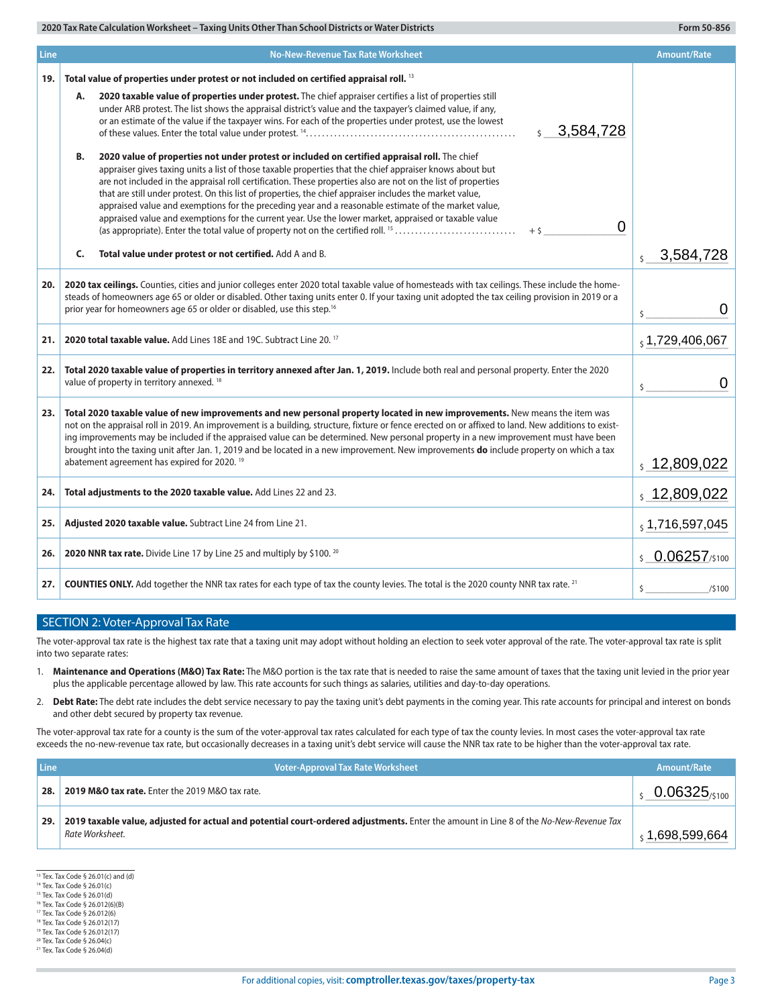| <b>Line</b> | <b>No-New-Revenue Tax Rate Worksheet</b>                                                                                                                                                                                                                                                                                                                                                                                                                                                                                                                                                                                                                                                                                                                                                                                                                                                                                                                                                                                                                                                                                                                      | <b>Amount/Rate</b>         |
|-------------|---------------------------------------------------------------------------------------------------------------------------------------------------------------------------------------------------------------------------------------------------------------------------------------------------------------------------------------------------------------------------------------------------------------------------------------------------------------------------------------------------------------------------------------------------------------------------------------------------------------------------------------------------------------------------------------------------------------------------------------------------------------------------------------------------------------------------------------------------------------------------------------------------------------------------------------------------------------------------------------------------------------------------------------------------------------------------------------------------------------------------------------------------------------|----------------------------|
| 19.         | Total value of properties under protest or not included on certified appraisal roll. <sup>13</sup>                                                                                                                                                                                                                                                                                                                                                                                                                                                                                                                                                                                                                                                                                                                                                                                                                                                                                                                                                                                                                                                            |                            |
|             | 2020 taxable value of properties under protest. The chief appraiser certifies a list of properties still<br>А.<br>under ARB protest. The list shows the appraisal district's value and the taxpayer's claimed value, if any,<br>or an estimate of the value if the taxpayer wins. For each of the properties under protest, use the lowest<br>$\frac{1}{5}$ 3,584,728<br>2020 value of properties not under protest or included on certified appraisal roll. The chief<br>В.<br>appraiser gives taxing units a list of those taxable properties that the chief appraiser knows about but<br>are not included in the appraisal roll certification. These properties also are not on the list of properties<br>that are still under protest. On this list of properties, the chief appraiser includes the market value,<br>appraised value and exemptions for the preceding year and a reasonable estimate of the market value,<br>appraised value and exemptions for the current year. Use the lower market, appraised or taxable value<br>$\mathbf 0$<br>(as appropriate). Enter the total value of property not on the certified roll. <sup>15</sup><br>$+5$ |                            |
|             | C.<br>Total value under protest or not certified. Add A and B.                                                                                                                                                                                                                                                                                                                                                                                                                                                                                                                                                                                                                                                                                                                                                                                                                                                                                                                                                                                                                                                                                                | 3,584,728<br>$\zeta$       |
| 20.         | 2020 tax ceilings. Counties, cities and junior colleges enter 2020 total taxable value of homesteads with tax ceilings. These include the home-<br>steads of homeowners age 65 or older or disabled. Other taxing units enter 0. If your taxing unit adopted the tax ceiling provision in 2019 or a<br>prior year for homeowners age 65 or older or disabled, use this step. <sup>16</sup>                                                                                                                                                                                                                                                                                                                                                                                                                                                                                                                                                                                                                                                                                                                                                                    |                            |
| 21.         | 2020 total taxable value. Add Lines 18E and 19C. Subtract Line 20. 17                                                                                                                                                                                                                                                                                                                                                                                                                                                                                                                                                                                                                                                                                                                                                                                                                                                                                                                                                                                                                                                                                         |                            |
| 22.         | Total 2020 taxable value of properties in territory annexed after Jan. 1, 2019. Include both real and personal property. Enter the 2020<br>value of property in territory annexed. <sup>18</sup>                                                                                                                                                                                                                                                                                                                                                                                                                                                                                                                                                                                                                                                                                                                                                                                                                                                                                                                                                              |                            |
| 23.         | Total 2020 taxable value of new improvements and new personal property located in new improvements. New means the item was<br>not on the appraisal roll in 2019. An improvement is a building, structure, fixture or fence erected on or affixed to land. New additions to exist-<br>ing improvements may be included if the appraised value can be determined. New personal property in a new improvement must have been<br>brought into the taxing unit after Jan. 1, 2019 and be located in a new improvement. New improvements do include property on which a tax<br>abatement agreement has expired for 2020. <sup>19</sup>                                                                                                                                                                                                                                                                                                                                                                                                                                                                                                                              |                            |
| 24.         | Total adjustments to the 2020 taxable value. Add Lines 22 and 23.                                                                                                                                                                                                                                                                                                                                                                                                                                                                                                                                                                                                                                                                                                                                                                                                                                                                                                                                                                                                                                                                                             | $\frac{1}{2}$ , 12,809,022 |
| 25.         | Adjusted 2020 taxable value. Subtract Line 24 from Line 21.                                                                                                                                                                                                                                                                                                                                                                                                                                                                                                                                                                                                                                                                                                                                                                                                                                                                                                                                                                                                                                                                                                   | $_5$ 1,716,597,045         |
| 26.         | 2020 NNR tax rate. Divide Line 17 by Line 25 and multiply by \$100. 20                                                                                                                                                                                                                                                                                                                                                                                                                                                                                                                                                                                                                                                                                                                                                                                                                                                                                                                                                                                                                                                                                        | $$0.06257$ /\$100          |
| 27.         | <b>COUNTIES ONLY.</b> Add together the NNR tax rates for each type of tax the county levies. The total is the 2020 county NNR tax rate. <sup>21</sup>                                                                                                                                                                                                                                                                                                                                                                                                                                                                                                                                                                                                                                                                                                                                                                                                                                                                                                                                                                                                         | \$<br>/5100                |

## SECTION 2: Voter-Approval Tax Rate

The voter-approval tax rate is the highest tax rate that a taxing unit may adopt without holding an election to seek voter approval of the rate. The voter-approval tax rate is split into two separate rates:

- 1. **Maintenance and Operations (M&O) Tax Rate:** The M&O portion is the tax rate that is needed to raise the same amount of taxes that the taxing unit levied in the prior year plus the applicable percentage allowed by law. This rate accounts for such things as salaries, utilities and day-to-day operations.
- 2. **Debt Rate:** The debt rate includes the debt service necessary to pay the taxing unit's debt payments in the coming year. This rate accounts for principal and interest on bonds and other debt secured by property tax revenue.

The voter-approval tax rate for a county is the sum of the voter-approval tax rates calculated for each type of tax the county levies. In most cases the voter-approval tax rate exceeds the no-new-revenue tax rate, but occasionally decreases in a taxing unit's debt service will cause the NNR tax rate to be higher than the voter-approval tax rate.

| Line | <b>Voter-Approval Tax Rate Worksheet</b>                                                                                                                 | Amount/Rate              |
|------|----------------------------------------------------------------------------------------------------------------------------------------------------------|--------------------------|
| 28.  | <b>2019 M&amp;O tax rate.</b> Enter the 2019 M&O tax rate.                                                                                               | $0.06325_{\text{0.100}}$ |
| 29.  | 2019 taxable value, adjusted for actual and potential court-ordered adjustments. Enter the amount in Line 8 of the No-New-Revenue Tax<br>Rate Worksheet. | 1,698,599,664            |

13 Tex. Tax Code § 26.01(c) and (d)

<sup>14</sup> Tex. Tax Code § 26.01(c)

<sup>15</sup> Tex. Tax Code § 26.01(d) 16 Tex. Tax Code § 26.012(6)(B)

<sup>17</sup> Tex. Tax Code § 26.012(6)

<sup>18</sup> Tex. Tax Code § 26.012(17)

<sup>19</sup> Tex. Tax Code § 26.012(17)

<sup>20</sup> Tex. Tax Code § 26.04(c)

<sup>21</sup> Tex. Tax Code § 26.04(d)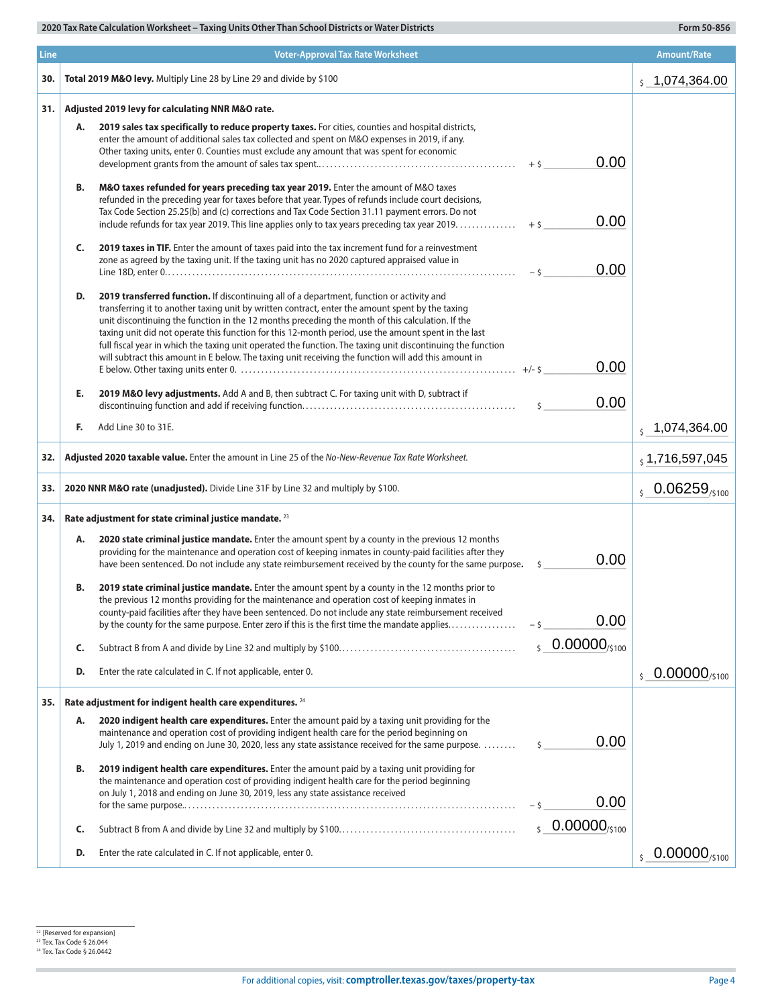| <b>Line</b> |    | <b>Voter-Approval Tax Rate Worksheet</b>                                                                                                                                                                                                                                                                                                                                                                                                                                                                                                                                                                                         |                            | <b>Amount/Rate</b>                     |
|-------------|----|----------------------------------------------------------------------------------------------------------------------------------------------------------------------------------------------------------------------------------------------------------------------------------------------------------------------------------------------------------------------------------------------------------------------------------------------------------------------------------------------------------------------------------------------------------------------------------------------------------------------------------|----------------------------|----------------------------------------|
| 30.         |    | Total 2019 M&O levy. Multiply Line 28 by Line 29 and divide by \$100                                                                                                                                                                                                                                                                                                                                                                                                                                                                                                                                                             |                            | $\frac{1}{2}$ , 1,074,364.00           |
| 31.         |    | Adjusted 2019 levy for calculating NNR M&O rate.                                                                                                                                                                                                                                                                                                                                                                                                                                                                                                                                                                                 |                            |                                        |
|             | А. | 2019 sales tax specifically to reduce property taxes. For cities, counties and hospital districts,<br>enter the amount of additional sales tax collected and spent on M&O expenses in 2019, if any.<br>Other taxing units, enter 0. Counties must exclude any amount that was spent for economic                                                                                                                                                                                                                                                                                                                                 | 0.00                       |                                        |
|             | В. | M&O taxes refunded for years preceding tax year 2019. Enter the amount of M&O taxes<br>refunded in the preceding year for taxes before that year. Types of refunds include court decisions,<br>Tax Code Section 25.25(b) and (c) corrections and Tax Code Section 31.11 payment errors. Do not                                                                                                                                                                                                                                                                                                                                   | 0.00                       |                                        |
|             | C. | 2019 taxes in TIF. Enter the amount of taxes paid into the tax increment fund for a reinvestment<br>zone as agreed by the taxing unit. If the taxing unit has no 2020 captured appraised value in                                                                                                                                                                                                                                                                                                                                                                                                                                | 0.00                       |                                        |
|             | D. | 2019 transferred function. If discontinuing all of a department, function or activity and<br>transferring it to another taxing unit by written contract, enter the amount spent by the taxing<br>unit discontinuing the function in the 12 months preceding the month of this calculation. If the<br>taxing unit did not operate this function for this 12-month period, use the amount spent in the last<br>full fiscal year in which the taxing unit operated the function. The taxing unit discontinuing the function<br>will subtract this amount in E below. The taxing unit receiving the function will add this amount in | 0.00                       |                                        |
|             |    |                                                                                                                                                                                                                                                                                                                                                                                                                                                                                                                                                                                                                                  |                            |                                        |
|             | E. | 2019 M&O levy adjustments. Add A and B, then subtract C. For taxing unit with D, subtract if                                                                                                                                                                                                                                                                                                                                                                                                                                                                                                                                     | 0.00<br>$\mathsf{\hat{S}}$ |                                        |
|             | F. | Add Line 30 to 31E.                                                                                                                                                                                                                                                                                                                                                                                                                                                                                                                                                                                                              |                            | $\frac{1}{5}$ 1,074,364.00             |
| 32.         |    | Adjusted 2020 taxable value. Enter the amount in Line 25 of the No-New-Revenue Tax Rate Worksheet.                                                                                                                                                                                                                                                                                                                                                                                                                                                                                                                               |                            | $_5$ 1,716,597,045                     |
| 33.         |    | 2020 NNR M&O rate (unadjusted). Divide Line 31F by Line 32 and multiply by \$100.                                                                                                                                                                                                                                                                                                                                                                                                                                                                                                                                                |                            | $\frac{1}{5}$ 0.06259 <sub>/5100</sub> |
| 34.         |    | Rate adjustment for state criminal justice mandate. 23                                                                                                                                                                                                                                                                                                                                                                                                                                                                                                                                                                           |                            |                                        |
|             | А. | 2020 state criminal justice mandate. Enter the amount spent by a county in the previous 12 months<br>providing for the maintenance and operation cost of keeping inmates in county-paid facilities after they<br>have been sentenced. Do not include any state reimbursement received by the county for the same purpose.                                                                                                                                                                                                                                                                                                        | 0.00<br>S.                 |                                        |
|             | В. | 2019 state criminal justice mandate. Enter the amount spent by a county in the 12 months prior to<br>the previous 12 months providing for the maintenance and operation cost of keeping inmates in<br>county-paid facilities after they have been sentenced. Do not include any state reimbursement received<br>by the county for the same purpose. Enter zero if this is the first time the mandate applies                                                                                                                                                                                                                     | 0.00<br>$-5$               |                                        |
|             | C. |                                                                                                                                                                                                                                                                                                                                                                                                                                                                                                                                                                                                                                  | $50.00000_{/5100}$         |                                        |
|             | D. | Enter the rate calculated in C. If not applicable, enter 0.                                                                                                                                                                                                                                                                                                                                                                                                                                                                                                                                                                      |                            | $\frac{1}{5}$ 0.00000/5100             |
| 35.         |    | Rate adjustment for indigent health care expenditures. 24                                                                                                                                                                                                                                                                                                                                                                                                                                                                                                                                                                        |                            |                                        |
|             | А. | 2020 indigent health care expenditures. Enter the amount paid by a taxing unit providing for the<br>maintenance and operation cost of providing indigent health care for the period beginning on<br>July 1, 2019 and ending on June 30, 2020, less any state assistance received for the same purpose.                                                                                                                                                                                                                                                                                                                           | 0.00<br>$\zeta$            |                                        |
|             | В. | 2019 indigent health care expenditures. Enter the amount paid by a taxing unit providing for<br>the maintenance and operation cost of providing indigent health care for the period beginning<br>on July 1, 2018 and ending on June 30, 2019, less any state assistance received                                                                                                                                                                                                                                                                                                                                                 | 0.00<br>- \$               |                                        |
|             | C. |                                                                                                                                                                                                                                                                                                                                                                                                                                                                                                                                                                                                                                  | $50.00000_{/5100}$         |                                        |
|             | D. | Enter the rate calculated in C. If not applicable, enter 0.                                                                                                                                                                                                                                                                                                                                                                                                                                                                                                                                                                      |                            | $\epsilon$ 0.00000/s100                |

<sup>22</sup> [Reserved for expansion]<br><sup>23</sup> Tex. Tax Code § 26.044<br><sup>24</sup> Tex. Tax Code § 26.0442

×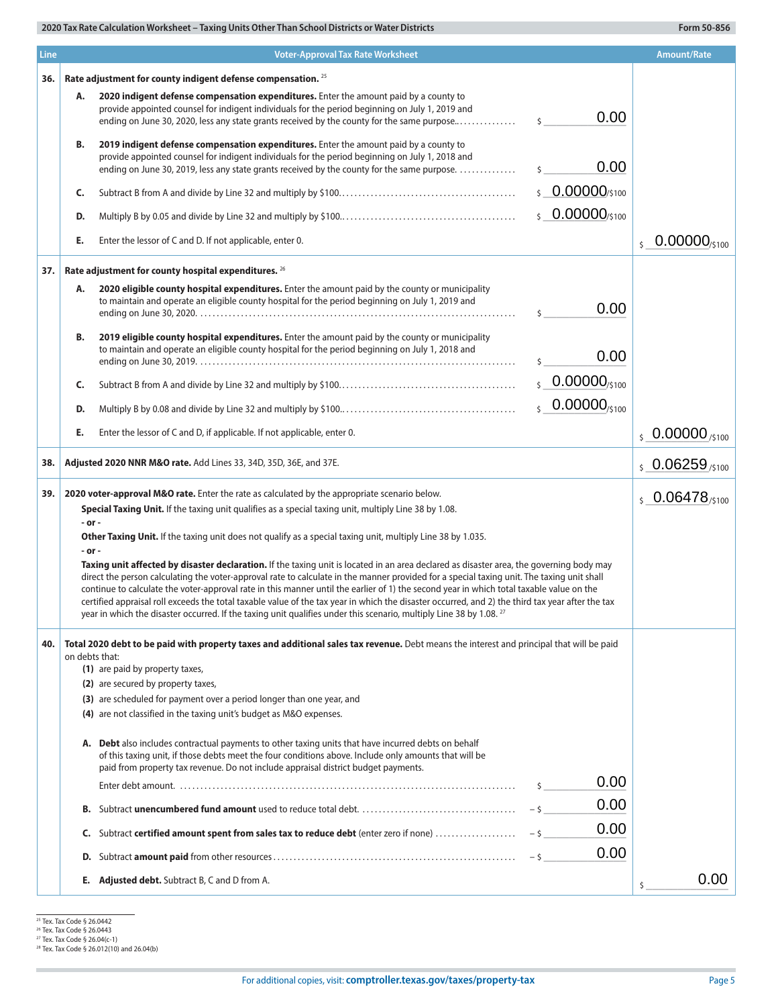| <b>Line</b> |                | <b>Voter-Approval Tax Rate Worksheet</b>                                                                                                                                                                                                                                                                                                                                                                                                                                                                                                                                                                                                                                                                                 |                               | <b>Amount/Rate</b>                  |
|-------------|----------------|--------------------------------------------------------------------------------------------------------------------------------------------------------------------------------------------------------------------------------------------------------------------------------------------------------------------------------------------------------------------------------------------------------------------------------------------------------------------------------------------------------------------------------------------------------------------------------------------------------------------------------------------------------------------------------------------------------------------------|-------------------------------|-------------------------------------|
| 36.         |                | Rate adjustment for county indigent defense compensation. 25                                                                                                                                                                                                                                                                                                                                                                                                                                                                                                                                                                                                                                                             |                               |                                     |
|             | Α.             | 2020 indigent defense compensation expenditures. Enter the amount paid by a county to<br>provide appointed counsel for indigent individuals for the period beginning on July 1, 2019 and<br>ending on June 30, 2020, less any state grants received by the county for the same purpose                                                                                                                                                                                                                                                                                                                                                                                                                                   | 0.00<br>$\mathsf{\hat{S}}$    |                                     |
|             | B.             | 2019 indigent defense compensation expenditures. Enter the amount paid by a county to<br>provide appointed counsel for indigent individuals for the period beginning on July 1, 2018 and<br>ending on June 30, 2019, less any state grants received by the county for the same purpose.                                                                                                                                                                                                                                                                                                                                                                                                                                  | 0.00                          |                                     |
|             | C.             |                                                                                                                                                                                                                                                                                                                                                                                                                                                                                                                                                                                                                                                                                                                          | \$ 0.00000/\$100              |                                     |
|             | D.             |                                                                                                                                                                                                                                                                                                                                                                                                                                                                                                                                                                                                                                                                                                                          | $$0.00000$ /\$100             |                                     |
|             | E.             | Enter the lessor of C and D. If not applicable, enter 0.                                                                                                                                                                                                                                                                                                                                                                                                                                                                                                                                                                                                                                                                 |                               | $0.00000_{\pm 100}$<br>$\mathsf{S}$ |
| 37.         |                | Rate adjustment for county hospital expenditures. 26                                                                                                                                                                                                                                                                                                                                                                                                                                                                                                                                                                                                                                                                     |                               |                                     |
|             | Α.             | 2020 eligible county hospital expenditures. Enter the amount paid by the county or municipality<br>to maintain and operate an eligible county hospital for the period beginning on July 1, 2019 and                                                                                                                                                                                                                                                                                                                                                                                                                                                                                                                      | 0.00                          |                                     |
|             | В.             | 2019 eligible county hospital expenditures. Enter the amount paid by the county or municipality<br>to maintain and operate an eligible county hospital for the period beginning on July 1, 2018 and                                                                                                                                                                                                                                                                                                                                                                                                                                                                                                                      | 0.00                          |                                     |
|             | C.             |                                                                                                                                                                                                                                                                                                                                                                                                                                                                                                                                                                                                                                                                                                                          | $50.00000_{/5100}$            |                                     |
|             | D.             |                                                                                                                                                                                                                                                                                                                                                                                                                                                                                                                                                                                                                                                                                                                          | $0.00000_{\frac{5100}{5100}}$ |                                     |
|             | E.             | Enter the lessor of C and D, if applicable. If not applicable, enter 0.                                                                                                                                                                                                                                                                                                                                                                                                                                                                                                                                                                                                                                                  |                               | $\frac{1}{5}$ 0.00000 /\$100        |
| 38.         |                | Adjusted 2020 NNR M&O rate. Add Lines 33, 34D, 35D, 36E, and 37E.                                                                                                                                                                                                                                                                                                                                                                                                                                                                                                                                                                                                                                                        |                               |                                     |
|             |                |                                                                                                                                                                                                                                                                                                                                                                                                                                                                                                                                                                                                                                                                                                                          |                               | $$0.06259_{/5100}$                  |
| 39.         |                | 2020 voter-approval M&O rate. Enter the rate as calculated by the appropriate scenario below.<br>Special Taxing Unit. If the taxing unit qualifies as a special taxing unit, multiply Line 38 by 1.08.                                                                                                                                                                                                                                                                                                                                                                                                                                                                                                                   |                               | $50.06478_{/5100}$                  |
|             | - or -         |                                                                                                                                                                                                                                                                                                                                                                                                                                                                                                                                                                                                                                                                                                                          |                               |                                     |
|             | - or -         | Other Taxing Unit. If the taxing unit does not qualify as a special taxing unit, multiply Line 38 by 1.035.                                                                                                                                                                                                                                                                                                                                                                                                                                                                                                                                                                                                              |                               |                                     |
|             |                | Taxing unit affected by disaster declaration. If the taxing unit is located in an area declared as disaster area, the governing body may<br>direct the person calculating the voter-approval rate to calculate in the manner provided for a special taxing unit. The taxing unit shall<br>continue to calculate the voter-approval rate in this manner until the earlier of 1) the second year in which total taxable value on the<br>certified appraisal roll exceeds the total taxable value of the tax year in which the disaster occurred, and 2) the third tax year after the tax<br>year in which the disaster occurred. If the taxing unit qualifies under this scenario, multiply Line 38 by 1.08. <sup>27</sup> |                               |                                     |
| 40.         | on debts that: | Total 2020 debt to be paid with property taxes and additional sales tax revenue. Debt means the interest and principal that will be paid                                                                                                                                                                                                                                                                                                                                                                                                                                                                                                                                                                                 |                               |                                     |
|             |                | (1) are paid by property taxes,                                                                                                                                                                                                                                                                                                                                                                                                                                                                                                                                                                                                                                                                                          |                               |                                     |
|             |                | (2) are secured by property taxes,<br>(3) are scheduled for payment over a period longer than one year, and                                                                                                                                                                                                                                                                                                                                                                                                                                                                                                                                                                                                              |                               |                                     |
|             |                | (4) are not classified in the taxing unit's budget as M&O expenses.                                                                                                                                                                                                                                                                                                                                                                                                                                                                                                                                                                                                                                                      |                               |                                     |
|             |                | A. Debt also includes contractual payments to other taxing units that have incurred debts on behalf<br>of this taxing unit, if those debts meet the four conditions above. Include only amounts that will be<br>paid from property tax revenue. Do not include appraisal district budget payments.                                                                                                                                                                                                                                                                                                                                                                                                                       |                               |                                     |
|             |                |                                                                                                                                                                                                                                                                                                                                                                                                                                                                                                                                                                                                                                                                                                                          | 0.00<br>\$                    |                                     |
|             | В.             |                                                                                                                                                                                                                                                                                                                                                                                                                                                                                                                                                                                                                                                                                                                          | 0.00<br>$-5$                  |                                     |
|             | C.             | Subtract certified amount spent from sales tax to reduce debt (enter zero if none)                                                                                                                                                                                                                                                                                                                                                                                                                                                                                                                                                                                                                                       | 0.00<br>$-5$                  |                                     |
|             | D.             |                                                                                                                                                                                                                                                                                                                                                                                                                                                                                                                                                                                                                                                                                                                          | 0.00<br>$-5$                  |                                     |
|             |                | <b>E.</b> Adjusted debt. Subtract B, C and D from A.                                                                                                                                                                                                                                                                                                                                                                                                                                                                                                                                                                                                                                                                     |                               | 0.00                                |

ř.

<sup>25</sup> Tex. Tax Code § 26.0442<br><sup>26</sup> Tex. Tax Code § 26.0443<br><sup>27</sup> Tex. Tax Code § 26.04(c-1)<br><sup>28</sup> Tex. Tax Code § 26.012(10) and 26.04(b)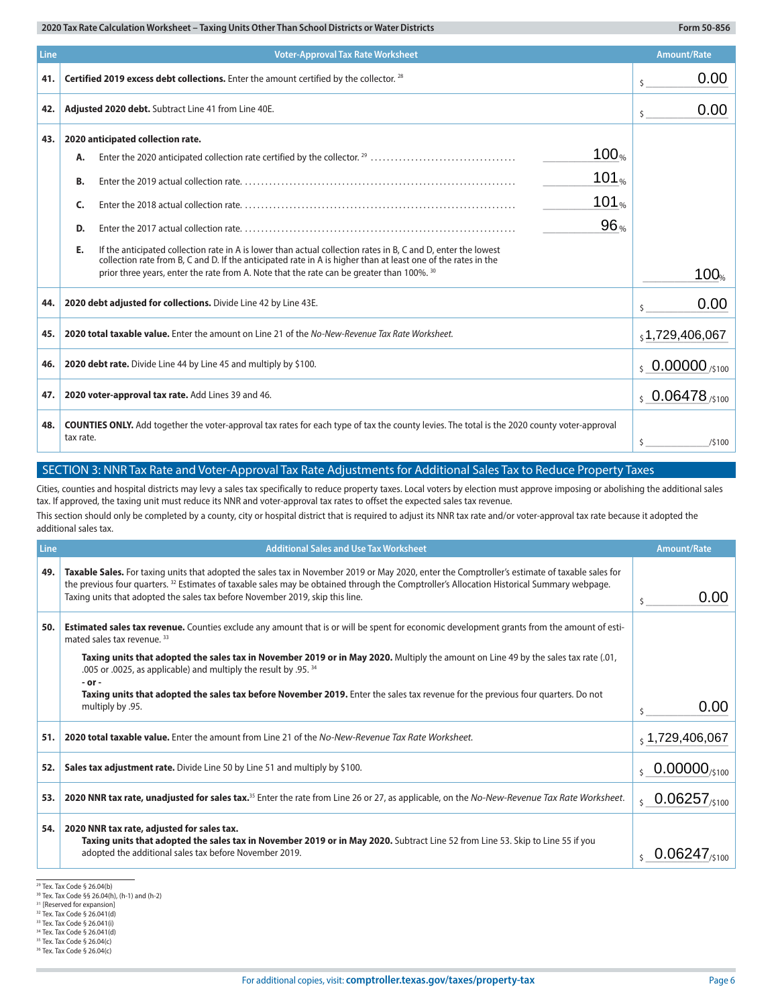| <b>Line</b><br><b>Voter-Approval Tax Rate Worksheet</b><br><b>Amount/Rate</b> |                                                                                                                                                                                                                                      |                                       |  |  |
|-------------------------------------------------------------------------------|--------------------------------------------------------------------------------------------------------------------------------------------------------------------------------------------------------------------------------------|---------------------------------------|--|--|
| 41.                                                                           | Certified 2019 excess debt collections. Enter the amount certified by the collector. 28                                                                                                                                              | 0.00<br>Ś                             |  |  |
| 42.                                                                           | Adjusted 2020 debt. Subtract Line 41 from Line 40E.                                                                                                                                                                                  | 0.00<br>Š.                            |  |  |
| 43.                                                                           | 2020 anticipated collection rate.                                                                                                                                                                                                    |                                       |  |  |
|                                                                               | 100 <sub>%</sub><br>А.                                                                                                                                                                                                               |                                       |  |  |
|                                                                               | 101 $_{\%}$<br>В.                                                                                                                                                                                                                    |                                       |  |  |
|                                                                               | 101 $_{\%}$<br>Forter the 2018 actual collection rate<br>C.                                                                                                                                                                          |                                       |  |  |
|                                                                               | 96%<br>D.                                                                                                                                                                                                                            |                                       |  |  |
|                                                                               | If the anticipated collection rate in A is lower than actual collection rates in B, C and D, enter the lowest<br>Е.<br>collection rate from B, C and D. If the anticipated rate in A is higher than at least one of the rates in the |                                       |  |  |
|                                                                               | prior three years, enter the rate from A. Note that the rate can be greater than 100%. 30                                                                                                                                            | 100%                                  |  |  |
| 44.                                                                           | 2020 debt adjusted for collections. Divide Line 42 by Line 43E.                                                                                                                                                                      | 0.00                                  |  |  |
| 45.                                                                           | 2020 total taxable value. Enter the amount on Line 21 of the No-New-Revenue Tax Rate Worksheet.                                                                                                                                      | $_5$ 1,729,406,067                    |  |  |
| 46.                                                                           | 2020 debt rate. Divide Line 44 by Line 45 and multiply by \$100.                                                                                                                                                                     | $\frac{1}{5}$ 0.00000 /\$100          |  |  |
| 47.                                                                           | 2020 voter-approval tax rate. Add Lines 39 and 46.                                                                                                                                                                                   | $\frac{1}{5}$ 0.06478 $\frac{1}{100}$ |  |  |
| 48.                                                                           | <b>COUNTIES ONLY.</b> Add together the voter-approval tax rates for each type of tax the county levies. The total is the 2020 county voter-approval<br>tax rate.                                                                     | \$<br>/5100                           |  |  |

## SECTION 3: NNR Tax Rate and Voter-Approval Tax Rate Adjustments for Additional Sales Tax to Reduce Property Taxes

| 47.  | 2020 voter-approval tax rate. Add Lines 39 and 46.                                                                                                                                                                                                                                                                                                                                       | $50.06478_{/5100}$                    |
|------|------------------------------------------------------------------------------------------------------------------------------------------------------------------------------------------------------------------------------------------------------------------------------------------------------------------------------------------------------------------------------------------|---------------------------------------|
| 48.  | <b>COUNTIES ONLY.</b> Add together the voter-approval tax rates for each type of tax the county levies. The total is the 2020 county voter-approval<br>tax rate.                                                                                                                                                                                                                         | Ŝ.<br>/5100                           |
|      | SECTION 3: NNR Tax Rate and Voter-Approval Tax Rate Adjustments for Additional Sales Tax to Reduce Property Taxes                                                                                                                                                                                                                                                                        |                                       |
|      | Cities, counties and hospital districts may levy a sales tax specifically to reduce property taxes. Local voters by election must approve imposing or abolishing the additional sales<br>tax. If approved, the taxing unit must reduce its NNR and voter-approval tax rates to offset the expected sales tax revenue.                                                                    |                                       |
|      | This section should only be completed by a county, city or hospital district that is required to adjust its NNR tax rate and/or voter-approval tax rate because it adopted the<br>additional sales tax.                                                                                                                                                                                  |                                       |
| Line | <b>Additional Sales and Use Tax Worksheet</b>                                                                                                                                                                                                                                                                                                                                            | <b>Amount/Rate</b>                    |
| 49.  | Taxable Sales. For taxing units that adopted the sales tax in November 2019 or May 2020, enter the Comptroller's estimate of taxable sales for<br>the previous four quarters. <sup>32</sup> Estimates of taxable sales may be obtained through the Comptroller's Allocation Historical Summary webpage.<br>Taxing units that adopted the sales tax before November 2019, skip this line. | 0.00<br>\$                            |
| 50.  | <b>Estimated sales tax revenue.</b> Counties exclude any amount that is or will be spent for economic development grants from the amount of esti-<br>mated sales tax revenue. 33                                                                                                                                                                                                         |                                       |
|      | Taxing units that adopted the sales tax in November 2019 or in May 2020. Multiply the amount on Line 49 by the sales tax rate (.01,<br>.005 or .0025, as applicable) and multiply the result by .95. 34                                                                                                                                                                                  |                                       |
|      | - or -<br>Taxing units that adopted the sales tax before November 2019. Enter the sales tax revenue for the previous four quarters. Do not<br>multiply by .95.                                                                                                                                                                                                                           | 0.00<br>Ś.                            |
| 51.  | 2020 total taxable value. Enter the amount from Line 21 of the No-New-Revenue Tax Rate Worksheet.                                                                                                                                                                                                                                                                                        | , 1,729,406,067                       |
| 52.  | Sales tax adjustment rate. Divide Line 50 by Line 51 and multiply by \$100.                                                                                                                                                                                                                                                                                                              | $0.00000_{/5100}$                     |
| 53.  | 2020 NNR tax rate, unadjusted for sales tax. <sup>35</sup> Enter the rate from Line 26 or 27, as applicable, on the No-New-Revenue Tax Rate Worksheet.                                                                                                                                                                                                                                   | $0.06257_{\tiny /5100}$               |
| 54.  | 2020 NNR tax rate, adjusted for sales tax.<br>Taxing units that adopted the sales tax in November 2019 or in May 2020. Subtract Line 52 from Line 53. Skip to Line 55 if you<br>adopted the additional sales tax before November 2019.                                                                                                                                                   | $0.06247_{\scriptscriptstyle (5100)}$ |

29 Tex. Tax Code § 26.04(b)

<sup>30</sup> Tex. Tax Code §§ 26.04(h), (h-1) and (h-2)

<sup>&</sup>lt;sup>31</sup> [Reserved for expansion]<br><sup>32</sup> Tex. Tax Code § 26.041(d)

<sup>33</sup> Tex. Tax Code § 26.041(i)

<sup>34</sup> Tex. Tax Code § 26.041(d)

<sup>35</sup> Tex. Tax Code § 26.04(c)

<sup>36</sup> Tex. Tax Code § 26.04(c)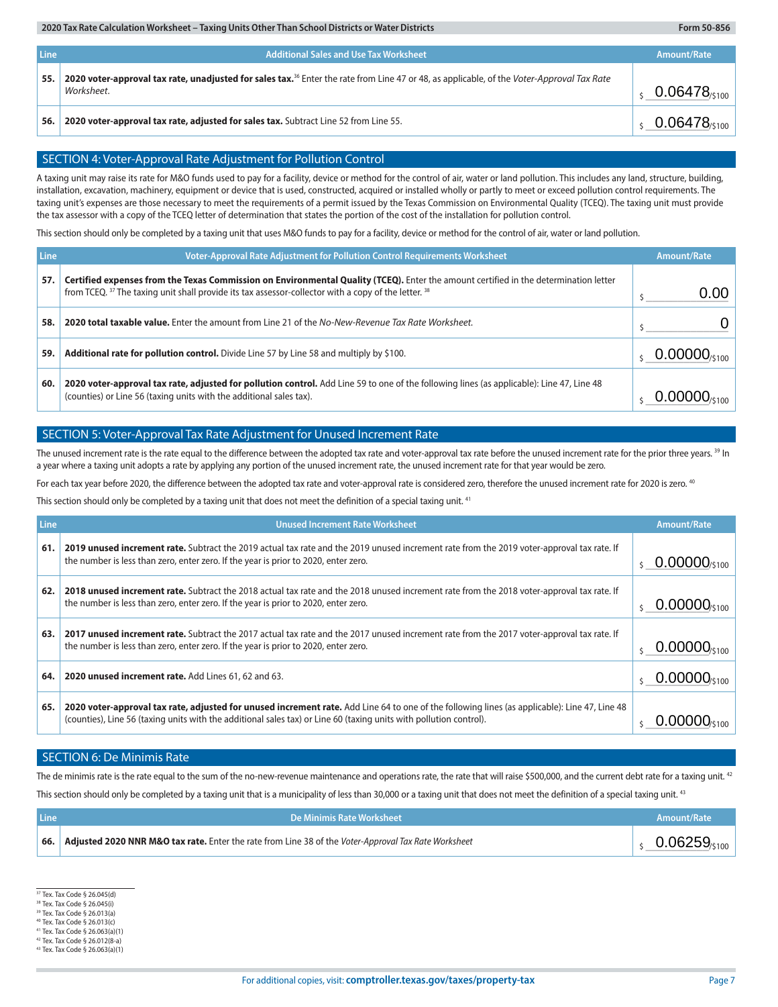| Line | <b>Additional Sales and Use Tax Worksheet</b>                                                                                                                               | Amount/Rate                      |
|------|-----------------------------------------------------------------------------------------------------------------------------------------------------------------------------|----------------------------------|
| 55.  | 2020 voter-approval tax rate, unadjusted for sales tax. <sup>36</sup> Enter the rate from Line 47 or 48, as applicable, of the <i>Voter-Approval Tax Rate</i><br>Worksheet. | $0.06478_{\text{5100}}$          |
| 56.  | 2020 voter-approval tax rate, adjusted for sales tax. Subtract Line 52 from Line 55.                                                                                        | $0.06478_{\text{\tiny{(5100)}}}$ |

#### SECTION 4: Voter-Approval Rate Adjustment for Pollution Control

| 56.                                                                                                                                                                                                                                                                                                                                                                                                                                                                                                                                                                                                                                                                                                                                                                                                                                                                                     | 2020 voter-approval tax rate, adjusted for sales tax. Subtract Line 52 from Line 55.                                                                                                                                                         |                    |
|-----------------------------------------------------------------------------------------------------------------------------------------------------------------------------------------------------------------------------------------------------------------------------------------------------------------------------------------------------------------------------------------------------------------------------------------------------------------------------------------------------------------------------------------------------------------------------------------------------------------------------------------------------------------------------------------------------------------------------------------------------------------------------------------------------------------------------------------------------------------------------------------|----------------------------------------------------------------------------------------------------------------------------------------------------------------------------------------------------------------------------------------------|--------------------|
|                                                                                                                                                                                                                                                                                                                                                                                                                                                                                                                                                                                                                                                                                                                                                                                                                                                                                         |                                                                                                                                                                                                                                              |                    |
|                                                                                                                                                                                                                                                                                                                                                                                                                                                                                                                                                                                                                                                                                                                                                                                                                                                                                         | SECTION 4: Voter-Approval Rate Adjustment for Pollution Control                                                                                                                                                                              |                    |
| A taxing unit may raise its rate for M&O funds used to pay for a facility, device or method for the control of air, water or land pollution. This includes any land, structure, building,<br>installation, excavation, machinery, equipment or device that is used, constructed, acquired or installed wholly or partly to meet or exceed pollution control requirements. The<br>taxing unit's expenses are those necessary to meet the requirements of a permit issued by the Texas Commission on Environmental Quality (TCEQ). The taxing unit must provide<br>the tax assessor with a copy of the TCEQ letter of determination that states the portion of the cost of the installation for pollution control.<br>This section should only be completed by a taxing unit that uses M&O funds to pay for a facility, device or method for the control of air, water or land pollution. |                                                                                                                                                                                                                                              |                    |
|                                                                                                                                                                                                                                                                                                                                                                                                                                                                                                                                                                                                                                                                                                                                                                                                                                                                                         |                                                                                                                                                                                                                                              |                    |
| Line                                                                                                                                                                                                                                                                                                                                                                                                                                                                                                                                                                                                                                                                                                                                                                                                                                                                                    | Voter-Approval Rate Adjustment for Pollution Control Requirements Worksheet                                                                                                                                                                  | <b>Amount/Rate</b> |
| 57.                                                                                                                                                                                                                                                                                                                                                                                                                                                                                                                                                                                                                                                                                                                                                                                                                                                                                     | Certified expenses from the Texas Commission on Environmental Quality (TCEQ). Enter the amount certified in the determination letter<br>from TCEQ. 37 The taxing unit shall provide its tax assessor-collector with a copy of the letter. 38 | 0.00               |
| 58.                                                                                                                                                                                                                                                                                                                                                                                                                                                                                                                                                                                                                                                                                                                                                                                                                                                                                     | 2020 total taxable value. Enter the amount from Line 21 of the No-New-Revenue Tax Rate Worksheet.                                                                                                                                            |                    |
| 59.                                                                                                                                                                                                                                                                                                                                                                                                                                                                                                                                                                                                                                                                                                                                                                                                                                                                                     | Additional rate for pollution control. Divide Line 57 by Line 58 and multiply by \$100.                                                                                                                                                      |                    |
| 60.                                                                                                                                                                                                                                                                                                                                                                                                                                                                                                                                                                                                                                                                                                                                                                                                                                                                                     | 2020 voter-approval tax rate, adjusted for pollution control. Add Line 59 to one of the following lines (as applicable): Line 47, Line 48<br>(counties) or Line 56 (taxing units with the additional sales tax).                             |                    |

## SECTION 5: Voter-Approval Tax Rate Adjustment for Unused Increment Rate

The unused increment rate is the rate equal to the difference between the adopted tax rate and voter-approval tax rate before the unused increment rate for the prior three years. <sup>39</sup> In a year where a taxing unit adopts a rate by applying any portion of the unused increment rate, the unused increment rate for that year would be zero.

For each tax year before 2020, the difference between the adopted tax rate and voter-approval rate is considered zero, therefore the unused increment rate for 2020 is zero. <sup>40</sup>

This section should only be completed by a taxing unit that does not meet the definition of a special taxing unit.<sup>41</sup>

| Line | <b>Unused Increment Rate Worksheet</b>                                                                                                                                                                                                                              | <b>Amount/Rate</b>            |
|------|---------------------------------------------------------------------------------------------------------------------------------------------------------------------------------------------------------------------------------------------------------------------|-------------------------------|
| 61.  | 2019 unused increment rate. Subtract the 2019 actual tax rate and the 2019 unused increment rate from the 2019 voter-approval tax rate. If<br>the number is less than zero, enter zero. If the year is prior to 2020, enter zero.                                   | $0.00000$ /s100               |
| 62.  | 2018 unused increment rate. Subtract the 2018 actual tax rate and the 2018 unused increment rate from the 2018 voter-approval tax rate. If<br>the number is less than zero, enter zero. If the year is prior to 2020, enter zero.                                   | U.00000/s100                  |
| 63.  | 2017 unused increment rate. Subtract the 2017 actual tax rate and the 2017 unused increment rate from the 2017 voter-approval tax rate. If<br>the number is less than zero, enter zero. If the year is prior to 2020, enter zero.                                   | $0.00000$ <sub>/\$100</sub>   |
| 64.  | 2020 unused increment rate. Add Lines 61, 62 and 63.                                                                                                                                                                                                                | $0.00000_{\frac{$100}{$100}}$ |
| 65.  | 2020 voter-approval tax rate, adjusted for unused increment rate. Add Line 64 to one of the following lines (as applicable): Line 47, Line 48<br>(counties), Line 56 (taxing units with the additional sales tax) or Line 60 (taxing units with pollution control). |                               |

#### SECTION 6: De Minimis Rate

The de minimis rate is the rate equal to the sum of the no-new-revenue maintenance and operations rate, the rate that will raise \$500,000, and the current debt rate for a taxing unit.<sup>42</sup> This section should only be completed by a taxing unit that is a municipality of less than 30,000 or a taxing unit that does not meet the definition of a special taxing unit.<sup>43</sup>

| <b>Line</b> | De Minimis Rate Worksheet                                                                            | Amount/Rate |
|-------------|------------------------------------------------------------------------------------------------------|-------------|
| 66.         | Adjusted 2020 NNR M&O tax rate. Enter the rate from Line 38 of the Voter-Approval Tax Rate Worksheet | 06250       |

37 Tex. Tax Code § 26.045(d)

38 Tex. Tax Code § 26.045(i) 39 Tex. Tax Code § 26.013(a)

40 Tex. Tax Code § 26.013(c)

41 Tex. Tax Code § 26.063(a)(1)

42 Tex. Tax Code § 26.012(8-a)

43 Tex. Tax Code § 26.063(a)(1)